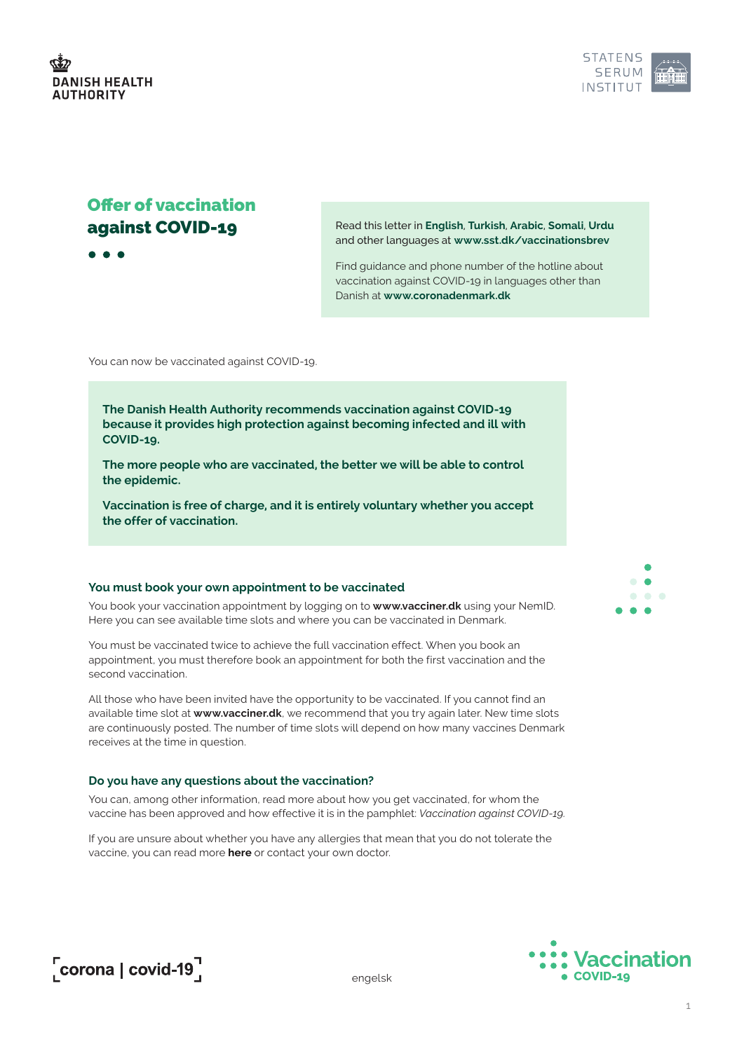

# Offer of vaccination against COVID-19

 $\bullet$   $\bullet$   $\bullet$ 

Read this letter in **English**, **Turkish**, **Arabic**, **Somali**, **Urdu** and other languages at **[www.sst.dk/vaccinationsbrev](http://www.sst.dk/vaccinationsbrev)**

Find guidance and phone number of the hotline about vaccination against COVID-19 in languages other than Danish at **[www.coronadenmark.dk](http://www.coronadenmark.dk)**

You can now be vaccinated against COVID-19.

**The Danish Health Authority recommends vaccination against COVID-19 because it provides high protection against becoming infected and ill with COVID-19.**

**The more people who are vaccinated, the better we will be able to control the epidemic.**

**Vaccination is free of charge, and it is entirely voluntary whether you accept the offer of vaccination.**

# **You must book your own appointment to be vaccinated**

You book your vaccination appointment by logging on to **[www.vacciner.dk](http://www.vacciner.dk)** using your NemID. Here you can see available time slots and where you can be vaccinated in Denmark.

You must be vaccinated twice to achieve the full vaccination effect. When you book an appointment, you must therefore book an appointment for both the first vaccination and the second vaccination.

All those who have been invited have the opportunity to be vaccinated. If you cannot find an available time slot at **[www.vacciner.dk](http://www.vacciner.dk)**, we recommend that you try again later. New time slots are continuously posted. The number of time slots will depend on how many vaccines Denmark receives at the time in question.

#### **Do you have any questions about the vaccination?**

You can, among other information, read more about how you get vaccinated, for whom the vaccine has been approved and how effective it is in the pamphlet: *[Vaccination against COVID-19](http://www.sst.dk/en/English/publications/2021/Vaccination-against-COVID-19---pamphlet).*

If you are unsure about whether you have any allergies that mean that you do not tolerate the vaccine, you can read more **[here](https://www.sst.dk/da/corona/Vaccination-mod-COVID-19/Hvem-skal-vaccineres)** or contact your own doctor.





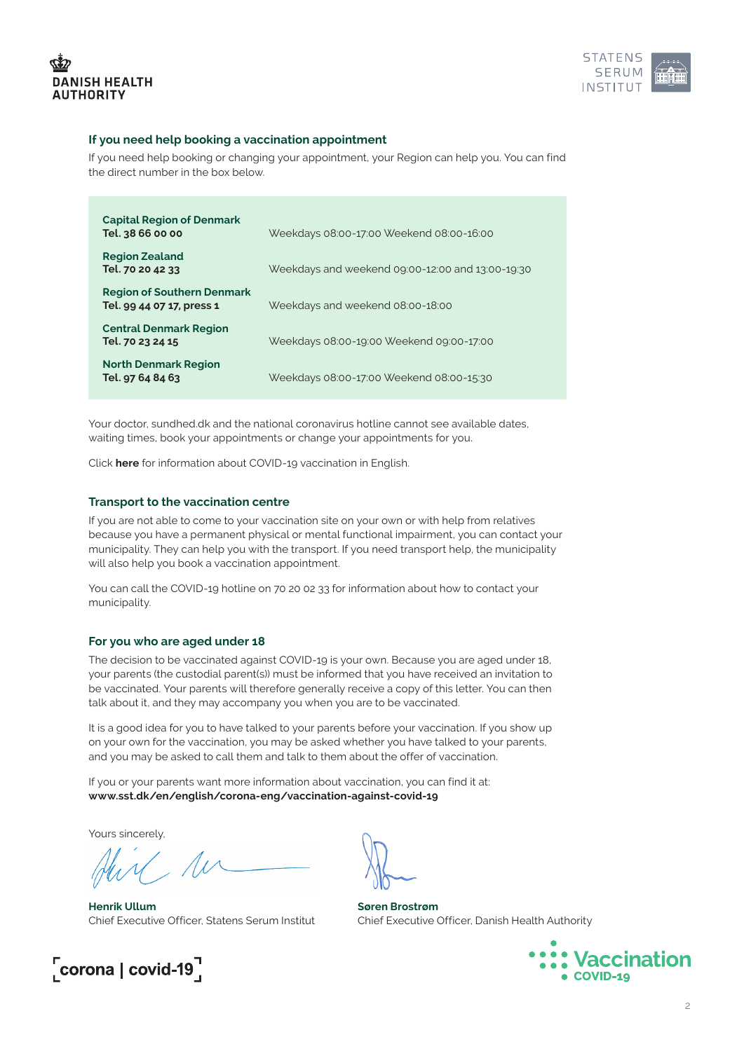



# **If you need help booking a vaccination appointment**

If you need help booking or changing your appointment, your Region can help you. You can find the direct number in the box below.

| <b>Capital Region of Denmark</b><br>Tel. 38 66 00 00           | Weekdays 08:00-17:00 Weekend 08:00-16:00         |
|----------------------------------------------------------------|--------------------------------------------------|
| <b>Region Zealand</b><br>Tel. 70 20 42 33                      | Weekdays and weekend 09:00-12:00 and 13:00-19:30 |
| <b>Region of Southern Denmark</b><br>Tel. 99 44 07 17, press 1 | Weekdays and weekend 08:00-18:00                 |
| <b>Central Denmark Region</b><br>Tel. 70 23 24 15              | Weekdays 08:00-19:00 Weekend 09:00-17:00         |
| <b>North Denmark Region</b><br>Tel. 97 64 84 63                | Weekdays 08:00-17:00 Weekend 08:00-15:30         |

Your doctor, sundhed.dk and the national coronavirus hotline cannot see available dates, waiting times, book your appointments or change your appointments for you.

Click **[here](http://www.sst.dk/covid-vaccination-eng)** for information about COVID-19 vaccination in English.

# **Transport to the vaccination centre**

If you are not able to come to your vaccination site on your own or with help from relatives because you have a permanent physical or mental functional impairment, you can contact your municipality. They can help you with the transport. If you need transport help, the municipality will also help you book a vaccination appointment.

You can call the COVID-19 hotline on 70 20 02 33 for information about how to contact your municipality.

#### **For you who are aged under 18**

The decision to be vaccinated against COVID-19 is your own. Because you are aged under 18, your parents (the custodial parent(s)) must be informed that you have received an invitation to be vaccinated. Your parents will therefore generally receive a copy of this letter. You can then talk about it, and they may accompany you when you are to be vaccinated.

It is a good idea for you to have talked to your parents before your vaccination. If you show up on your own for the vaccination, you may be asked whether you have talked to your parents, and you may be asked to call them and talk to them about the offer of vaccination.

If you or your parents want more information about vaccination, you can find it at: **[www.sst.dk/en/english/corona-eng/vaccination-against-covid-19](http://www.sst.dk/en/english/corona-eng/vaccination-against-covid-19)**

Yours sincerely,

**Henrik Ullum** Chief Executive Officer, Statens Serum Institut



**Søren Brostrøm** Chief Executive Officer, Danish Health Authority



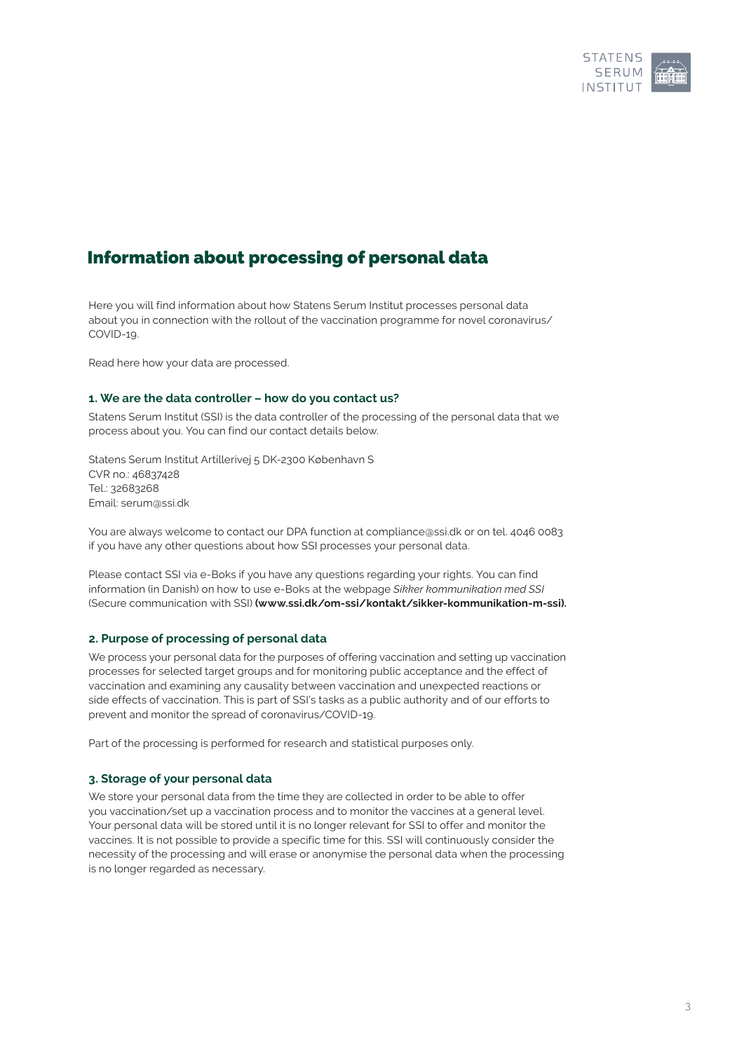

# Information about processing of personal data

Here you will find information about how Statens Serum Institut processes personal data about you in connection with the rollout of the vaccination programme for novel coronavirus/ COVID-19.

Read here how your data are processed.

# **1. We are the data controller – how do you contact us?**

Statens Serum Institut (SSI) is the data controller of the processing of the personal data that we process about you. You can find our contact details below.

Statens Serum Institut Artillerivej 5 DK-2300 København S CVR no.: 46837428 Tel.: 32683268 Email: [serum@ssi.dk](mailto:serum%40ssi.dk?subject=)

You are always welcome to contact our DPA function at [compliance@ssi.dk](mailto:compliance%40ssi.dk?subject=) or on tel. 4046 0083 if you have any other questions about how SSI processes your personal data.

Please contact SSI via e-Boks if you have any questions regarding your rights. You can find information (in Danish) on how to use e-Boks at the webpage *Sikker kommunikation med SSI* (Secure communication with SSI) **([www.ssi.dk/om-ssi/kontakt/sikker-kommunikation-m-ssi](http://www.ssi.dk/om-ssi/kontakt/sikker-kommunikation-m-ssi)).**

# **2. Purpose of processing of personal data**

We process your personal data for the purposes of offering vaccination and setting up vaccination processes for selected target groups and for monitoring public acceptance and the effect of vaccination and examining any causality between vaccination and unexpected reactions or side effects of vaccination. This is part of SSI's tasks as a public authority and of our efforts to prevent and monitor the spread of coronavirus/COVID-19.

Part of the processing is performed for research and statistical purposes only.

# **3. Storage of your personal data**

We store your personal data from the time they are collected in order to be able to offer you vaccination/set up a vaccination process and to monitor the vaccines at a general level. Your personal data will be stored until it is no longer relevant for SSI to offer and monitor the vaccines. It is not possible to provide a specific time for this. SSI will continuously consider the necessity of the processing and will erase or anonymise the personal data when the processing is no longer regarded as necessary.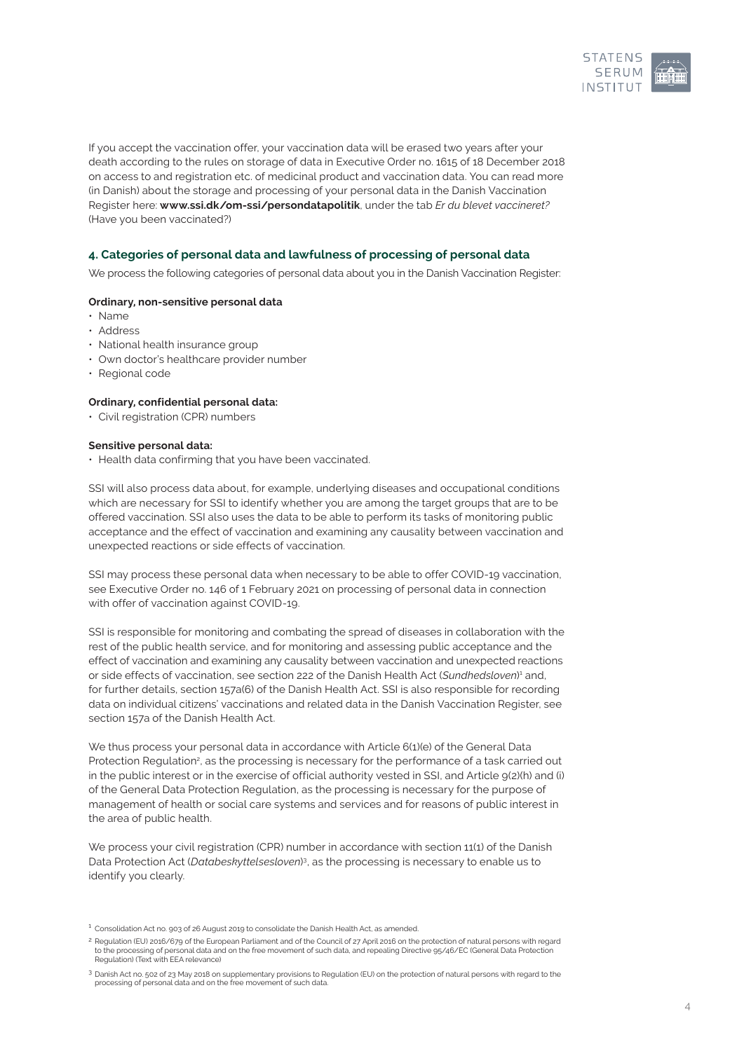

If you accept the vaccination offer, your vaccination data will be erased two years after your death according to the rules on storage of data in Executive Order no. 1615 of 18 December 2018 on access to and registration etc. of medicinal product and vaccination data. You can read more (in Danish) about the storage and processing of your personal data in the Danish Vaccination Register here: **[www.ssi.dk/om-ssi/persondatapolitik](http://www.ssi.dk/om-ssi/persondatapolitik)**, under the tab *Er du blevet vaccineret?* (Have you been vaccinated?)

# **4. Categories of personal data and lawfulness of processing of personal data**

We process the following categories of personal data about you in the Danish Vaccination Register:

# **Ordinary, non-sensitive personal data**

- • Name
- • Address
- $\cdot$  National health insurance group
- Own doctor's healthcare provider number
- Regional code

## **Ordinary, confidential personal data:**

• Civil registration (CPR) numbers

#### **Sensitive personal data:**

• Health data confirming that you have been vaccinated.

SSI will also process data about, for example, underlying diseases and occupational conditions which are necessary for SSI to identify whether you are among the target groups that are to be offered vaccination. SSI also uses the data to be able to perform its tasks of monitoring public acceptance and the effect of vaccination and examining any causality between vaccination and unexpected reactions or side effects of vaccination.

SSI may process these personal data when necessary to be able to offer COVID-19 vaccination, see Executive Order no. 146 of 1 February 2021 on processing of personal data in connection with offer of vaccination against COVID-19.

SSI is responsible for monitoring and combating the spread of diseases in collaboration with the rest of the public health service, and for monitoring and assessing public acceptance and the effect of vaccination and examining any causality between vaccination and unexpected reactions or side effects of vaccination, see section 222 of the Danish Health Act (Sundhedsloven)<sup>1</sup> and, for further details, section 157a(6) of the Danish Health Act. SSI is also responsible for recording data on individual citizens' vaccinations and related data in the Danish Vaccination Register, see section 157a of the Danish Health Act.

We thus process your personal data in accordance with Article 6(1)(e) of the General Data Protection Regulation<sup>2</sup>, as the processing is necessary for the performance of a task carried out in the public interest or in the exercise of official authority vested in SSI, and Article  $g(2)(h)$  and (i) of the General Data Protection Regulation, as the processing is necessary for the purpose of management of health or social care systems and services and for reasons of public interest in the area of public health.

We process your civil registration (CPR) number in accordance with section 11(1) of the Danish Data Protection Act (*Databeskyttelsesloven*) 3, as the processing is necessary to enable us to identify you clearly.

<sup>&</sup>lt;sup>1</sup> Consolidation Act no. 903 of 26 August 2019 to consolidate the Danish Health Act, as amended.

<sup>2</sup> Regulation (EU) 2016/679 of the European Parliament and of the Council of 27 April 2016 on the protection of natural persons with regard to the processing of personal data and on the free movement of such data, and repealing Directive 95/46/EC (General Data Protection Regulation) (Text with EEA relevance)

<sup>3</sup> Danish Act no. 502 of 23 May 2018 on supplementary provisions to Regulation (EU) on the protection of natural persons with regard to the processing of personal data and on the free movement of such data.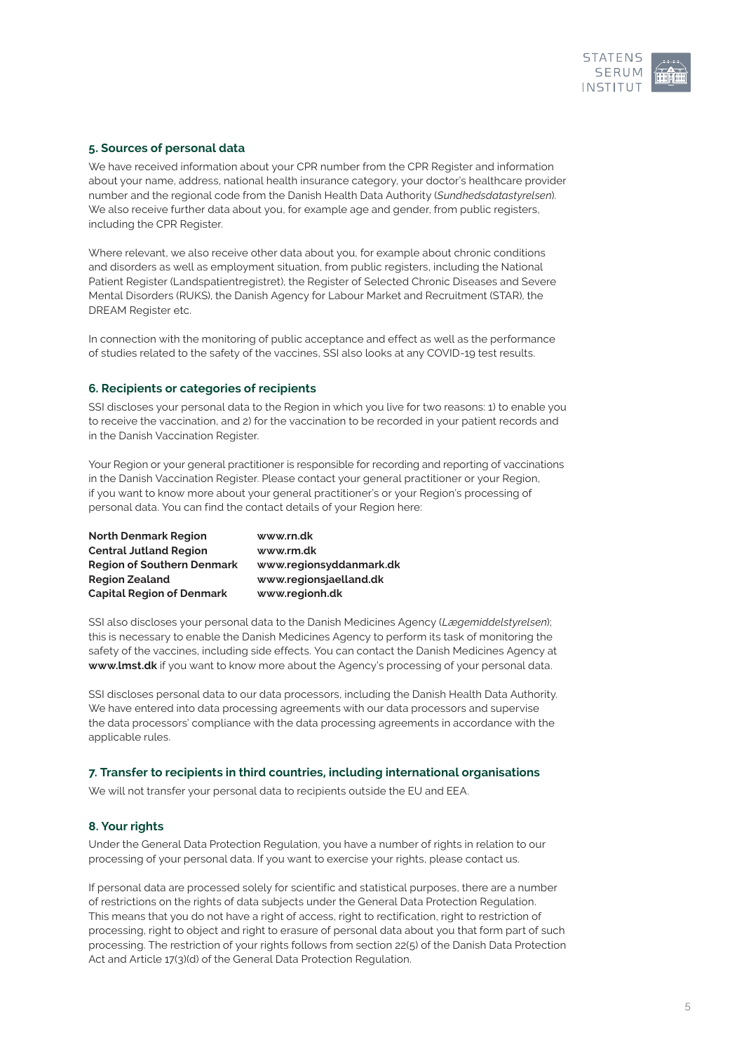

# **5. Sources of personal data**

We have received information about your CPR number from the CPR Register and information about your name, address, national health insurance category, your doctor's healthcare provider number and the regional code from the Danish Health Data Authority (*Sundhedsdatastyrelsen*). We also receive further data about you, for example age and gender, from public registers, including the CPR Register.

Where relevant, we also receive other data about you, for example about chronic conditions and disorders as well as employment situation, from public registers, including the National Patient Register (Landspatientregistret), the Register of Selected Chronic Diseases and Severe Mental Disorders (RUKS), the Danish Agency for Labour Market and Recruitment (STAR), the DREAM Register etc.

In connection with the monitoring of public acceptance and effect as well as the performance of studies related to the safety of the vaccines, SSI also looks at any COVID-19 test results.

# **6. Recipients or categories of recipients**

SSI discloses your personal data to the Region in which you live for two reasons: 1) to enable you to receive the vaccination, and 2) for the vaccination to be recorded in your patient records and in the Danish Vaccination Register.

Your Region or your general practitioner is responsible for recording and reporting of vaccinations in the Danish Vaccination Register. Please contact your general practitioner or your Region, if you want to know more about your general practitioner's or your Region's processing of personal data. You can find the contact details of your Region here:

| <b>North Denmark Region</b>       | www.rn.dk               |
|-----------------------------------|-------------------------|
| <b>Central Jutland Region</b>     | www.rm.dk               |
| <b>Region of Southern Denmark</b> | www.regionsyddanmark.dk |
| <b>Region Zealand</b>             | www.regionsjaelland.dk  |
| <b>Capital Region of Denmark</b>  | www.regionh.dk          |

SSI also discloses your personal data to the Danish Medicines Agency (*Lægemiddelstyrelsen*); this is necessary to enable the Danish Medicines Agency to perform its task of monitoring the safety of the vaccines, including side effects. You can contact the Danish Medicines Agency at **[www.lmst.dk](http://www.lmst.dk)** if you want to know more about the Agency's processing of your personal data.

SSI discloses personal data to our data processors, including the Danish Health Data Authority. We have entered into data processing agreements with our data processors and supervise the data processors' compliance with the data processing agreements in accordance with the applicable rules.

# **7. Transfer to recipients in third countries, including international organisations**

We will not transfer your personal data to recipients outside the EU and EEA.

# **8. Your rights**

Under the General Data Protection Regulation, you have a number of rights in relation to our processing of your personal data. If you want to exercise your rights, please contact us.

If personal data are processed solely for scientific and statistical purposes, there are a number of restrictions on the rights of data subjects under the General Data Protection Regulation. This means that you do not have a right of access, right to rectification, right to restriction of processing, right to object and right to erasure of personal data about you that form part of such processing. The restriction of your rights follows from section 22(5) of the Danish Data Protection Act and Article 17(3)(d) of the General Data Protection Regulation.